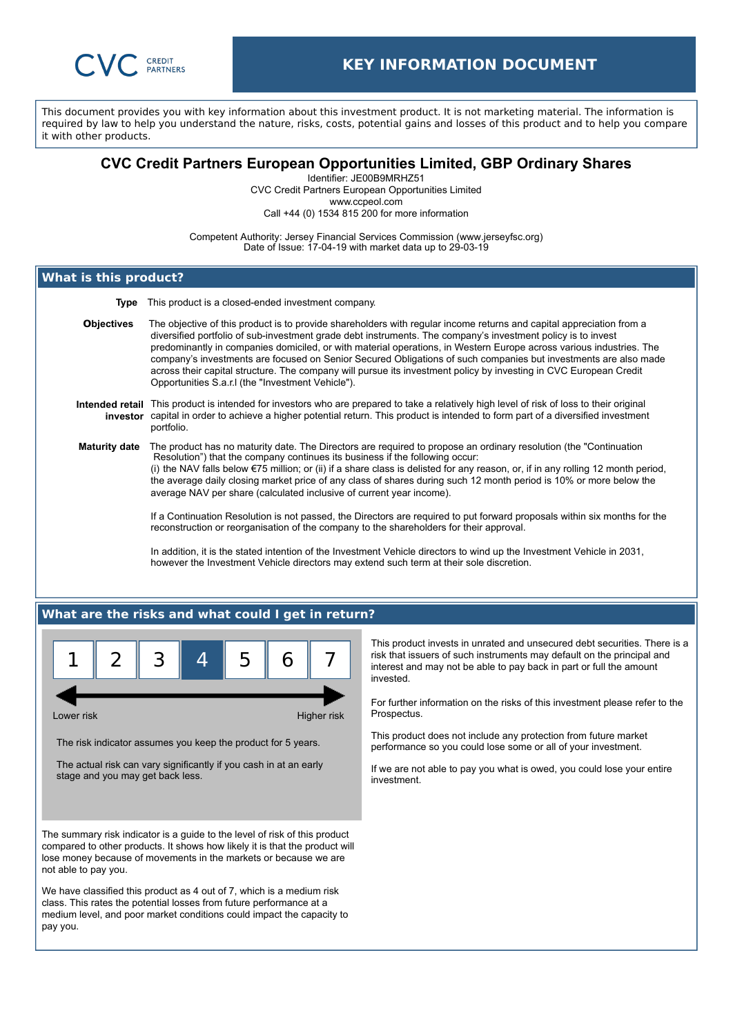

This document provides you with key information about this investment product. It is not marketing material. The information is required by law to help you understand the nature, risks, costs, potential gains and losses of this product and to help you compare it with other products.

# **CVC Credit Partners European Opportunities Limited, GBP Ordinary Shares**

Identifier: JE00B9MRHZ51 CVC Credit Partners European Opportunities Limited

www.ccpeol.com

Call +44 (0) 1534 815 200 for more information

Competent Authority: Jersey Financial Services Commission (www.jerseyfsc.org) Date of Issue: 17-04-19 with market data up to 29-03-19

# **What is this product?**

**Type** This product is a closed-ended investment company.

**Objectives** The objective of this product is to provide shareholders with regular income returns and capital appreciation from a diversified portfolio of sub-investment grade debt instruments. The company's investment policy is to invest predominantly in companies domiciled, or with material operations, in Western Europe across various industries. The company's investments are focused on Senior Secured Obligations of such companies but investments are also made across their capital structure. The company will pursue its investment policy by investing in CVC European Credit Opportunities S.a.r.l (the "Investment Vehicle").

#### **Intended retail** This product is intended for investors who are prepared to take a relatively high level of risk of loss to their original **investor** capital in order to achieve a higher potential return. This product is intended to form part of a diversified investment portfolio.

**Maturity date** The product has no maturity date. The Directors are required to propose an ordinary resolution (the "Continuation Resolution") that the company continues its business if the following occur: (i) the NAV falls below €75 million; or (ii) if a share class is delisted for any reason, or, if in any rolling 12 month period, the average daily closing market price of any class of shares during such 12 month period is 10% or more below the average NAV per share (calculated inclusive of current year income).

> If a Continuation Resolution is not passed, the Directors are required to put forward proposals within six months for the reconstruction or reorganisation of the company to the shareholders for their approval.

In addition, it is the stated intention of the Investment Vehicle directors to wind up the Investment Vehicle in 2031, however the Investment Vehicle directors may extend such term at their sole discretion.

## **What are the risks and what could I get in return?**



Lower risk **Higher risk** Higher risk **Higher risk** 

The risk indicator assumes you keep the product for 5 years.

The actual risk can vary significantly if you cash in at an early stage and you may get back less.

The summary risk indicator is a guide to the level of risk of this product compared to other products. It shows how likely it is that the product will lose money because of movements in the markets or because we are not able to pay you.

We have classified this product as 4 out of 7, which is a medium risk class. This rates the potential losses from future performance at a medium level, and poor market conditions could impact the capacity to pay you.

This product invests in unrated and unsecured debt securities. There is a risk that issuers of such instruments may default on the principal and interest and may not be able to pay back in part or full the amount invested.

For further information on the risks of this investment please refer to the Prospectus.

This product does not include any protection from future market performance so you could lose some or all of your investment.

If we are not able to pay you what is owed, you could lose your entire investment.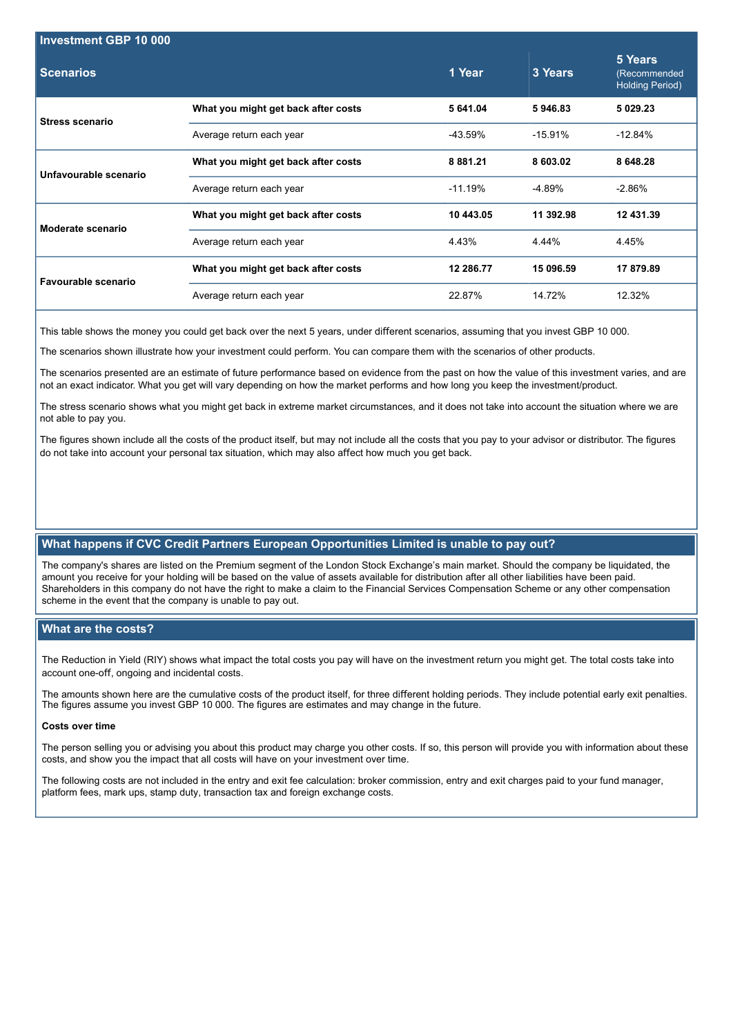| Investment GBP 10 000  |                                     |               |           |                                                   |
|------------------------|-------------------------------------|---------------|-----------|---------------------------------------------------|
| <b>Scenarios</b>       |                                     | 1 Year        | 3 Years   | 5 Years<br>(Recommended<br><b>Holding Period)</b> |
| <b>Stress scenario</b> | What you might get back after costs | 5 641.04      | 5946.83   | 5 0 29 23                                         |
|                        | Average return each year            | -43.59%       | $-15.91%$ | $-12.84%$                                         |
| Unfavourable scenario  | What you might get back after costs | 8 8 8 1 . 2 1 | 8 603.02  | 8 648.28                                          |
|                        | Average return each year            | $-11.19%$     | -4.89%    | $-2.86%$                                          |
| Moderate scenario      | What you might get back after costs | 10 443.05     | 11 392.98 | 12 431.39                                         |
|                        | Average return each year            | 4.43%         | 4.44%     | 4.45%                                             |
| Favourable scenario    | What you might get back after costs | 12 286.77     | 15 096.59 | 17 879.89                                         |
|                        | Average return each year            | 22.87%        | 14.72%    | 12.32%                                            |

This table shows the money you could get back over the next 5 years, under different scenarios, assuming that you invest GBP 10 000.

The scenarios shown illustrate how your investment could perform. You can compare them with the scenarios of other products.

The scenarios presented are an estimate of future performance based on evidence from the past on how the value of this investment varies, and are not an exact indicator. What you get will vary depending on how the market performs and how long you keep the investment/product.

The stress scenario shows what you might get back in extreme market circumstances, and it does not take into account the situation where we are not able to pay you.

The figures shown include all the costs of the product itself, but may not include all the costs that you pay to your advisor or distributor. The figures do not take into account your personal tax situation, which may also affect how much you get back.

## **What happens if CVC Credit Partners European Opportunities Limited is unable to pay out?**

The company's shares are listed on the Premium segment of the London Stock Exchange's main market. Should the company be liquidated, the amount you receive for your holding will be based on the value of assets available for distribution after all other liabilities have been paid. Shareholders in this company do not have the right to make a claim to the Financial Services Compensation Scheme or any other compensation scheme in the event that the company is unable to pay out.

## **What are the costs?**

The Reduction in Yield (RIY) shows what impact the total costs you pay will have on the investment return you might get. The total costs take into account one-off, ongoing and incidental costs.

The amounts shown here are the cumulative costs of the product itself, for three different holding periods. They include potential early exit penalties. The figures assume you invest GBP 10 000. The figures are estimates and may change in the future.

#### **Costs over time**

The person selling you or advising you about this product may charge you other costs. If so, this person will provide you with information about these costs, and show you the impact that all costs will have on your investment over time.

The following costs are not included in the entry and exit fee calculation: broker commission, entry and exit charges paid to your fund manager, platform fees, mark ups, stamp duty, transaction tax and foreign exchange costs.